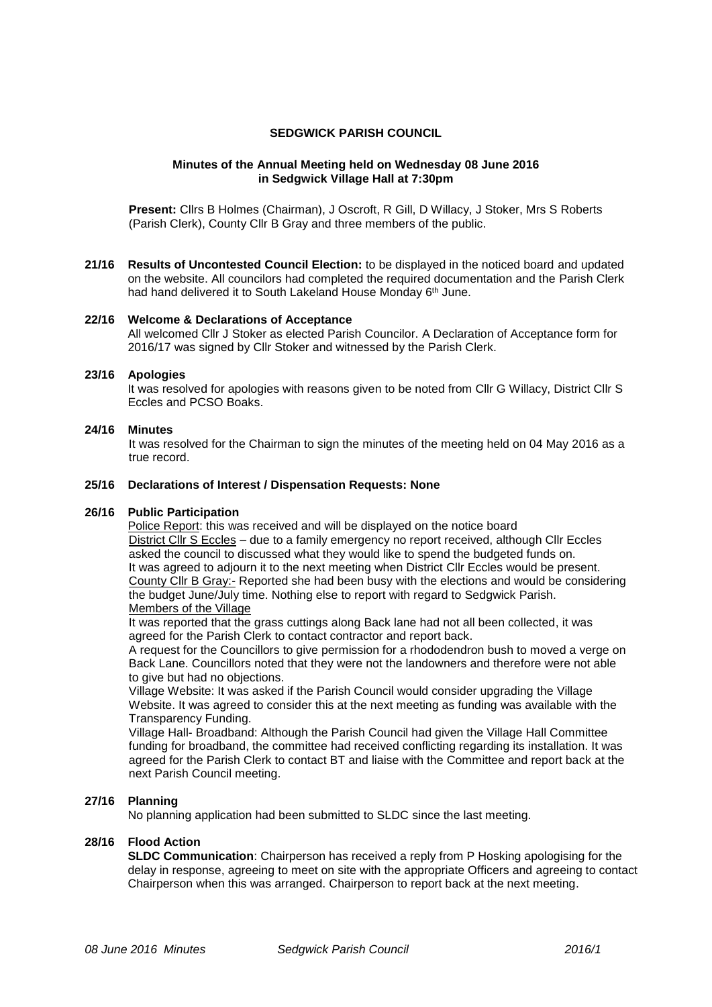# **SEDGWICK PARISH COUNCIL**

## **Minutes of the Annual Meeting held on Wednesday 08 June 2016 in Sedgwick Village Hall at 7:30pm**

**Present:** Cllrs B Holmes (Chairman), J Oscroft, R Gill, D Willacy, J Stoker, Mrs S Roberts (Parish Clerk), County Cllr B Gray and three members of the public.

**21/16 Results of Uncontested Council Election:** to be displayed in the noticed board and updated on the website. All councilors had completed the required documentation and the Parish Clerk had hand delivered it to South Lakeland House Monday 6<sup>th</sup> June.

### **22/16 Welcome & Declarations of Acceptance**

All welcomed Cllr J Stoker as elected Parish Councilor. A Declaration of Acceptance form for 2016/17 was signed by Cllr Stoker and witnessed by the Parish Clerk.

### **23/16 Apologies**

It was resolved for apologies with reasons given to be noted from Cllr G Willacy, District Cllr S Eccles and PCSO Boaks.

### **24/16 Minutes**

It was resolved for the Chairman to sign the minutes of the meeting held on 04 May 2016 as a true record.

### **25/16 Declarations of Interest / Dispensation Requests: None**

## **26/16 Public Participation**

Police Report: this was received and will be displayed on the notice board District Cllr S Eccles – due to a family emergency no report received, although Cllr Eccles asked the council to discussed what they would like to spend the budgeted funds on. It was agreed to adjourn it to the next meeting when District Cllr Eccles would be present. County Cllr B Gray:- Reported she had been busy with the elections and would be considering the budget June/July time. Nothing else to report with regard to Sedgwick Parish. Members of the Village

It was reported that the grass cuttings along Back lane had not all been collected, it was agreed for the Parish Clerk to contact contractor and report back.

A request for the Councillors to give permission for a rhododendron bush to moved a verge on Back Lane. Councillors noted that they were not the landowners and therefore were not able to give but had no objections.

Village Website: It was asked if the Parish Council would consider upgrading the Village Website. It was agreed to consider this at the next meeting as funding was available with the Transparency Funding.

Village Hall- Broadband: Although the Parish Council had given the Village Hall Committee funding for broadband, the committee had received conflicting regarding its installation. It was agreed for the Parish Clerk to contact BT and liaise with the Committee and report back at the next Parish Council meeting.

# **27/16 Planning**

No planning application had been submitted to SLDC since the last meeting.

## **28/16 Flood Action**

**SLDC Communication**: Chairperson has received a reply from P Hosking apologising for the delay in response, agreeing to meet on site with the appropriate Officers and agreeing to contact Chairperson when this was arranged. Chairperson to report back at the next meeting.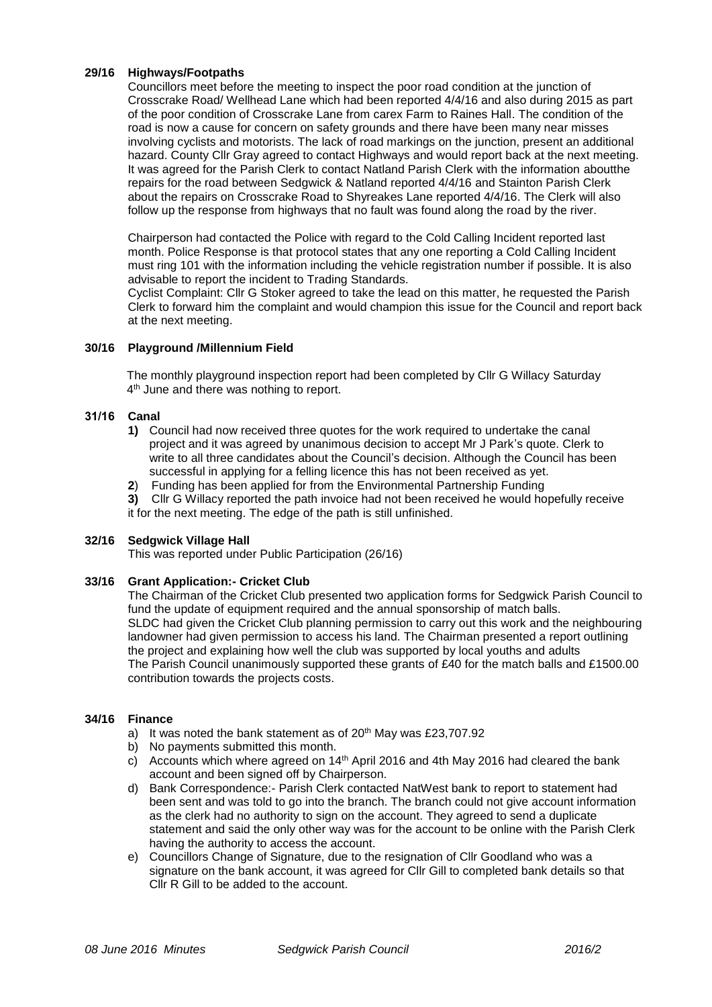# **29/16 Highways/Footpaths**

Councillors meet before the meeting to inspect the poor road condition at the junction of Crosscrake Road/ Wellhead Lane which had been reported 4/4/16 and also during 2015 as part of the poor condition of Crosscrake Lane from carex Farm to Raines Hall. The condition of the road is now a cause for concern on safety grounds and there have been many near misses involving cyclists and motorists. The lack of road markings on the junction, present an additional hazard. County Cllr Gray agreed to contact Highways and would report back at the next meeting. It was agreed for the Parish Clerk to contact Natland Parish Clerk with the information aboutthe repairs for the road between Sedgwick & Natland reported 4/4/16 and Stainton Parish Clerk about the repairs on Crosscrake Road to Shyreakes Lane reported 4/4/16. The Clerk will also follow up the response from highways that no fault was found along the road by the river.

Chairperson had contacted the Police with regard to the Cold Calling Incident reported last month. Police Response is that protocol states that any one reporting a Cold Calling Incident must ring 101 with the information including the vehicle registration number if possible. It is also advisable to report the incident to Trading Standards.

Cyclist Complaint: Cllr G Stoker agreed to take the lead on this matter, he requested the Parish Clerk to forward him the complaint and would champion this issue for the Council and report back at the next meeting.

## **30/16 Playground /Millennium Field**

The monthly playground inspection report had been completed by Cllr G Willacy Saturday 4 th June and there was nothing to report.

## **31/16 Canal**

- **1)** Council had now received three quotes for the work required to undertake the canal project and it was agreed by unanimous decision to accept Mr J Park's quote. Clerk to write to all three candidates about the Council's decision. Although the Council has been successful in applying for a felling licence this has not been received as yet.
- **2**) Funding has been applied for from the Environmental Partnership Funding

**3)** Cllr G Willacy reported the path invoice had not been received he would hopefully receive it for the next meeting. The edge of the path is still unfinished.

## **32/16 Sedgwick Village Hall**

This was reported under Public Participation (26/16)

# **33/16 Grant Application:- Cricket Club**

The Chairman of the Cricket Club presented two application forms for Sedgwick Parish Council to fund the update of equipment required and the annual sponsorship of match balls. SLDC had given the Cricket Club planning permission to carry out this work and the neighbouring landowner had given permission to access his land. The Chairman presented a report outlining the project and explaining how well the club was supported by local youths and adults The Parish Council unanimously supported these grants of £40 for the match balls and £1500.00 contribution towards the projects costs.

## **34/16 Finance**

- a) It was noted the bank statement as of  $20<sup>th</sup>$  May was £23,707.92
- b) No payments submitted this month.
- c) Accounts which where agreed on  $14<sup>th</sup>$  April 2016 and 4th May 2016 had cleared the bank account and been signed off by Chairperson.
- d) Bank Correspondence:- Parish Clerk contacted NatWest bank to report to statement had been sent and was told to go into the branch. The branch could not give account information as the clerk had no authority to sign on the account. They agreed to send a duplicate statement and said the only other way was for the account to be online with the Parish Clerk having the authority to access the account.
- e) Councillors Change of Signature, due to the resignation of Cllr Goodland who was a signature on the bank account, it was agreed for Cllr Gill to completed bank details so that Cllr R Gill to be added to the account.